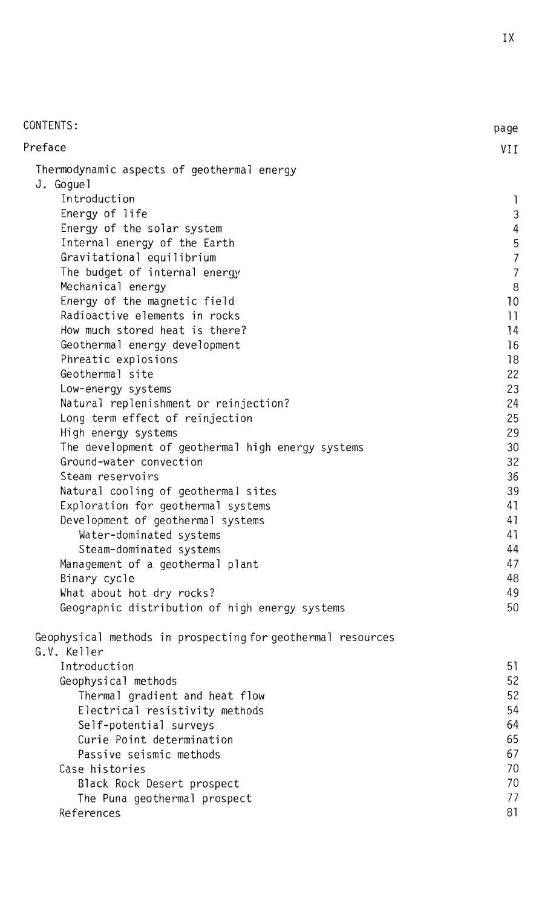| CONTENTS:                                                   | page           |
|-------------------------------------------------------------|----------------|
| Preface                                                     | VII            |
| Thermodynamic aspects of geothermal energy<br>J. Goguel     |                |
| Introduction                                                | 1              |
| Energy of life                                              | 3              |
| Energy of the solar system                                  | 4              |
| Internal energy of the Earth                                | 5              |
| Gravitational equilibrium                                   | $\overline{7}$ |
| The budget of internal energy                               | $\overline{7}$ |
| Mechanical energy                                           | $\, 8$         |
| Energy of the magnetic field                                | 10             |
| Radioactive elements in rocks                               | 11             |
| How much stored heat is there?                              | 14             |
| Geothermal energy development                               | 16             |
| Phreatic explosions                                         | 18             |
| Geothermal site                                             | 22             |
| Low-energy systems                                          | 23             |
| Natural replenishment or reinjection?                       | 24             |
| Long term effect of reinjection                             | 25             |
| High energy systems                                         | 29             |
| The development of geothermal high energy systems           | 30             |
| Ground-water convection                                     | 32             |
| Steam reservoirs                                            | 36             |
| Natural cooling of geothermal sites                         | 39             |
| Exploration for geothermal systems                          | 41             |
| Development of geothermal systems                           | 41             |
| Water-dominated systems                                     | 41             |
| Steam-dominated systems                                     | 44             |
| Management of a geothermal plant                            | 47             |
| Binary cycle                                                | 48             |
| What about hot dry rocks?                                   | 49             |
| Geographic distribution of high energy systems              | 50             |
| Geophysical methods in prospecting for geothermal resources |                |
| G.V. Keller                                                 |                |
| Introduction                                                | 51             |
| Geophysical methods                                         | 52             |
| Thermal gradient and heat flow                              | 52             |
| Electrical resistivity methods                              | 54             |
| Self-potential surveys                                      | 64             |
| Curie Point determination                                   | 65             |
| Passive seismic methods                                     | 67             |
| Case histories                                              | 70             |
| Black Rock Desert prospect                                  | 70             |
| The Puna geothermal prospect                                | 77             |
| References                                                  | 81             |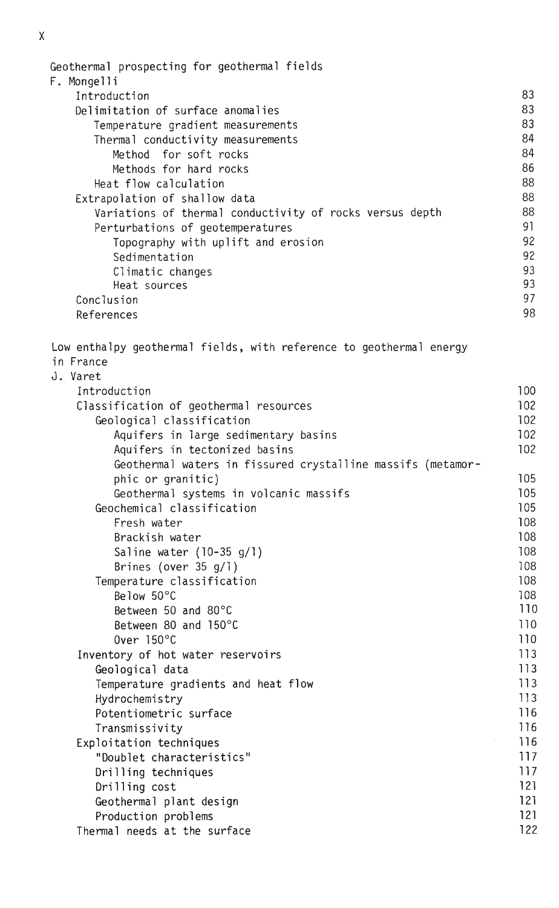```
Geothermal prospecting for geothermal fields
F.Mongelli
    Introduction
                                                                               83
    Delimitation of surface anomalies
                                                                               83
       Temperature gradient measurements
                                                                               83
                                                                               84
       Thermal conductivity measurements
                                                                               84
          Method for soft rocks
          Methods for hard rocks
                                                                               86
                                                                               88
       Heat flow calculation
    Extrapolation of shallow data
                                                                               88
       Variations of thermal conductivity of rocks versus depth
                                                                               88
       Perturbations of geotemperatures
                                                                               91
                                                                               92
          Topography with uplift and erosion
          Sedimentation
                                                                               92
                                                                               93
          Climatic changes
                                                                               93
          Heat sources
                                                                               97
    Conclusion
                                                                               98
    References
Low enthalpy geothermal fields, with reference to geothermal energy
in France
J.Varet
    Introduction
                                                                              100
    Classification of geothermal resources
                                                                              102
       Geological classification
                                                                              102
          Aquifers in large sedimentary basins
                                                                              102
          Aquifers in tectonized basins
                                                                              102
          Geothermal waters in fissured crystalline massifs (metamor-
                                                                              105
          phic or granitic)
          Geothermal systems in volcanic massifs
                                                                              105
       Geochemical classification
                                                                              105
          Fresh water
                                                                              108
          Brackish water
                                                                              108
          Saline water (10-35 g/1)108
          Brines (over 35q/1)
                                                                              108
       Temperature classification
                                                                              108
          Below 50°C
                                                                              108
                                                                              110
          Between 50 and 80^{\circ}C
          Between 80 and 150°C
                                                                              110
          Over 150^{\circ}C
                                                                              110
    Inventory of hot water reservoirs
                                                                              113113Geological data
       Temperature gradients and heat flow
                                                                              113Hydrochemistry
                                                                              113Potentiometric surface
                                                                              116
       Transmissivity
                                                                              116
    Exploitation techniques
                                                                              116
       "Doublet characteristics"
                                                                              117
                                                                              117Drilling techniques
       Drilling cost
                                                                              121
                                                                              121Geothermal plant design
       Production problems
                                                                              121Thermal needs at the surface
                                                                              122
```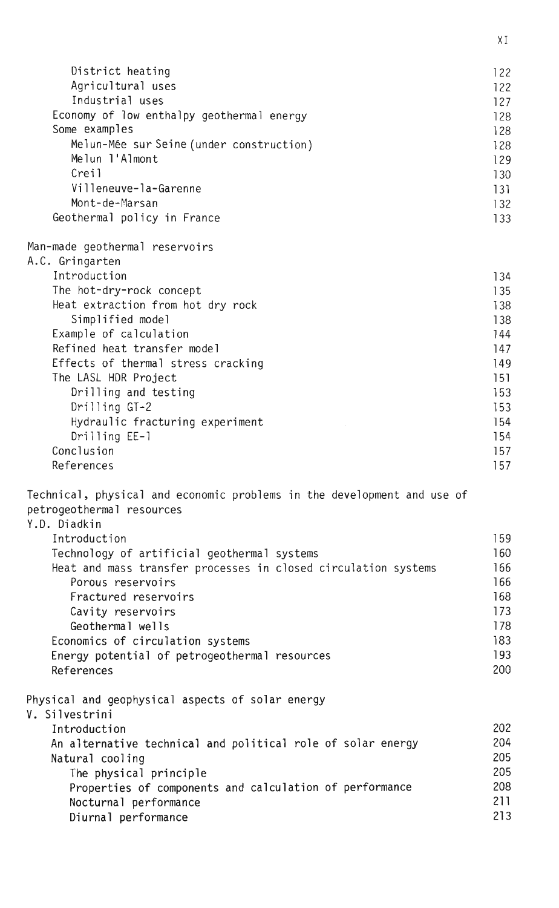| District heating<br>Agricultural uses<br>Industrial uses<br>Economy of low enthalpy geothermal energy<br>Some examples<br>Melun-Mée sur Seine (under construction)<br>Melun l'Almont | 122<br>122<br>127<br>128<br>128<br>128<br>129 |
|--------------------------------------------------------------------------------------------------------------------------------------------------------------------------------------|-----------------------------------------------|
| Creil<br>Villeneuve-la-Garenne<br>Mont-de-Marsan<br>Geothermal policy in France                                                                                                      | 130<br>131<br>132<br>133                      |
| Man-made geothermal reservoirs<br>A.C. Gringarten                                                                                                                                    |                                               |
| Introduction                                                                                                                                                                         | 134                                           |
| The hot-dry-rock concept                                                                                                                                                             | 135                                           |
| Heat extraction from hot dry rock                                                                                                                                                    | 138                                           |
| Simplified model                                                                                                                                                                     | 138                                           |
| Example of calculation                                                                                                                                                               | 144                                           |
| Refined heat transfer model                                                                                                                                                          | 147                                           |
| Effects of thermal stress cracking                                                                                                                                                   | 149                                           |
| The LASL HDR Project                                                                                                                                                                 | 151                                           |
| Drilling and testing                                                                                                                                                                 | 153                                           |
| Drilling GT-2                                                                                                                                                                        | 153                                           |
| Hydraulic fracturing experiment                                                                                                                                                      | 154                                           |
| Drilling EE-1                                                                                                                                                                        | 154                                           |
| Conclusion<br>References                                                                                                                                                             | 157                                           |
| Technical, physical and economic problems in the development and use of                                                                                                              | 157                                           |
| petrogeothermal resources<br>Y.D. Diadkin                                                                                                                                            |                                               |
| Introduction                                                                                                                                                                         | 159                                           |
| Technology of artificial geothermal systems                                                                                                                                          | 160                                           |
| Heat and mass transfer processes in closed circulation systems                                                                                                                       | 166                                           |
| Porous reservoirs                                                                                                                                                                    | 166                                           |
| Fractured reservoirs                                                                                                                                                                 | 168                                           |
| Cavity reservoirs                                                                                                                                                                    | 173                                           |
| Geothermal wells                                                                                                                                                                     | 178                                           |
| Economics of circulation systems                                                                                                                                                     | 183                                           |
| Energy potential of petrogeothermal resources                                                                                                                                        | 193                                           |
| References                                                                                                                                                                           | 200                                           |
| Physical and geophysical aspects of solar energy<br>V. Silvestrini                                                                                                                   |                                               |
| Introduction                                                                                                                                                                         | 202                                           |
| An alternative technical and political role of solar energy                                                                                                                          | 204                                           |
| Natural cooling                                                                                                                                                                      | 205                                           |
| The physical principle                                                                                                                                                               | 205                                           |
| Properties of components and calculation of performance                                                                                                                              | 208                                           |
| Nocturnal performance                                                                                                                                                                | 211                                           |
| Diurnal performance                                                                                                                                                                  | 213                                           |

 $\overline{X}$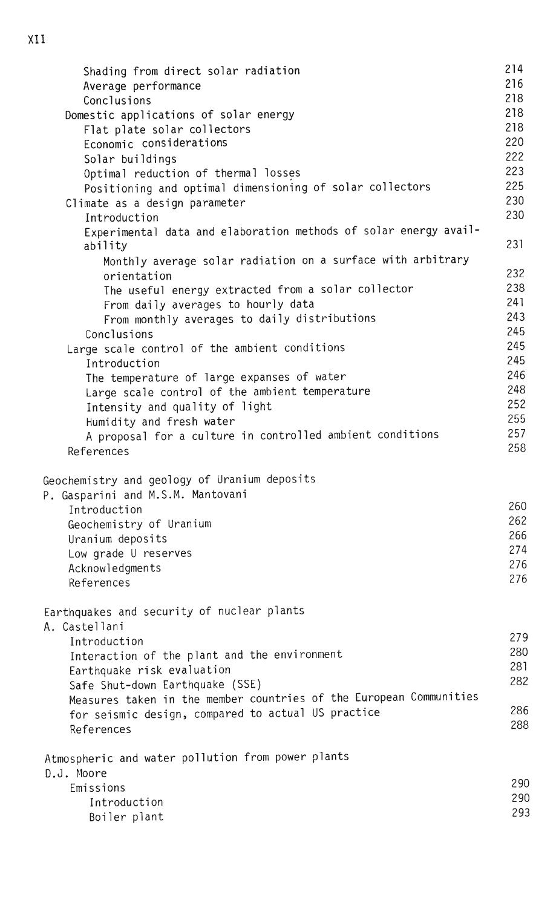214 Shading from direct solar radiation 216 Average performance 218 Conclusions 218 Domestic applications of solar energy Flat plate solar collectors 218 Economic considerations 220 222 Solar buildings 223 Optimal reduction of thermal losses Positioning and optimal dimensioning of solar collectors 225 230 Climate as a design parameter 230 Introduction Experimental data and elaboration methods of solar energy availability 231 Monthly average solar radiation on a surface with arbitrary 232 orientation The useful energy extracted from a solar collector 238 241 From daily averages to hourly data 243 From monthly averages to daily distributions 245 Conclusions Large scale control of the ambient conditions 245 245 Introduction 246 The temperature of large expanses of water 248 Large scale control of the ambient temperature 252 Intensity and quality of light 255 Humidity and fresh water 257 A proposal for a culture in controlled ambient conditions 258 References Geochemistry and geology of Uranium deposits P. Gasparini and M.S.M. Mantovani 260 Introduction 262 Geochemistry of Uranium 266 Uranium deposits 274 Low grade U reserves 276 Acknowledgments 276 References Earthquakes and security of nuclear plants A.Castellani 279 Introduction 280 Interaction of the plant and the environment 281 Earthquake risk evaluation 282 Safe Shut-down Earthquake (SSE) Measures taken in the member countries of the European Communities 286 for seismic design, compared to actual US practice 288 References Atmospheric and water pollution from power plants D.J. Moore 290 Emissions 290 Introduction 293 Boiler plant

XII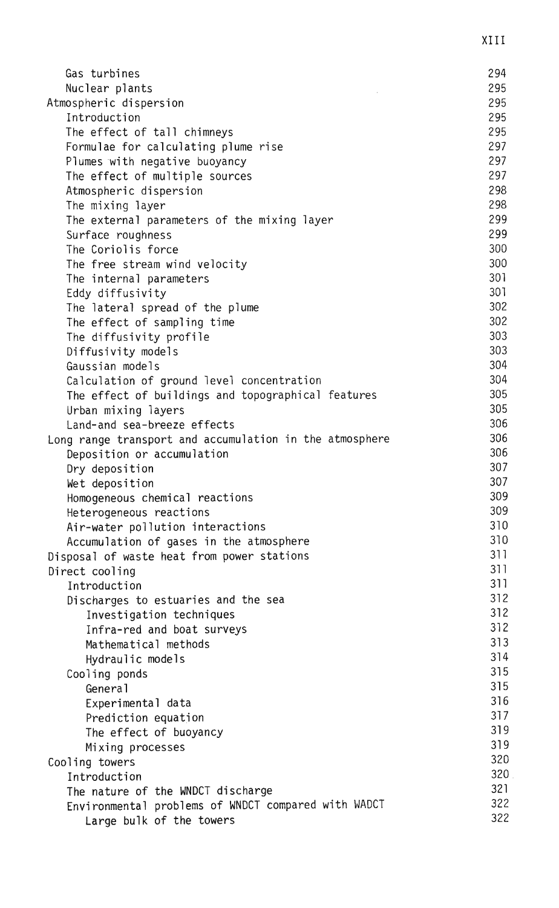| Gas turbines                                                    | 294        |
|-----------------------------------------------------------------|------------|
| Nuclear plants                                                  | 295        |
| Atmospheric dispersion                                          | 295        |
| Introduction                                                    | 295        |
| The effect of tall chimneys                                     | 295        |
| Formulae for calculating plume rise                             | 297        |
| Plumes with negative buoyancy                                   | 297        |
| The effect of multiple sources                                  | 297        |
| Atmospheric dispersion                                          | 298        |
| The mixing layer                                                | 298        |
| The external parameters of the mixing layer                     | 299        |
| Surface roughness                                               | 299        |
| The Coriolis force                                              | 300        |
| The free stream wind velocity                                   | 300        |
| The internal parameters                                         | 301        |
| Eddy diffusivity                                                | 301        |
| The lateral spread of the plume                                 | 302        |
| The effect of sampling time                                     | 302        |
| The diffusivity profile                                         | 303        |
| Diffusivity models                                              | 303        |
| Gaussian models                                                 | 304        |
| Calculation of ground level concentration                       | 304        |
| The effect of buildings and topographical features              | 305        |
| Urban mixing layers                                             | 305        |
| Land-and sea-breeze effects                                     | 306        |
| Long range transport and accumulation in the atmosphere         | 306<br>306 |
| Deposition or accumulation                                      |            |
| Dry deposition                                                  | 307<br>307 |
| Wet deposition                                                  | 309        |
| Homogeneous chemical reactions                                  | 309        |
| Heterogeneous reactions                                         | 310        |
| Air-water pollution interactions                                | 310        |
| Accumulation of gases in the atmosphere                         | 311        |
| Disposal of waste heat from power stations                      | 311        |
| Direct cooling                                                  | 311        |
| Introduction                                                    | 312        |
| Discharges to estuaries and the sea<br>Investigation techniques | 312        |
|                                                                 | 312        |
| Infra-red and boat surveys<br>Mathematical methods              | 313        |
| Hydraulic models                                                | 314        |
|                                                                 | 315        |
| Cooling ponds<br>General                                        | 315        |
|                                                                 | 316        |
| Experimental data                                               | 317        |
| Prediction equation                                             | 319        |
| The effect of buoyancy                                          | 319        |
| Mixing processes                                                | 320        |
| Cooling towers<br>Introduction                                  | 320        |
| The nature of the WNDCT discharge                               | 321        |
| Environmental problems of WNDCT compared with WADCT             | 322        |
| Large bulk of the towers                                        | 322        |
|                                                                 |            |

 $XIII$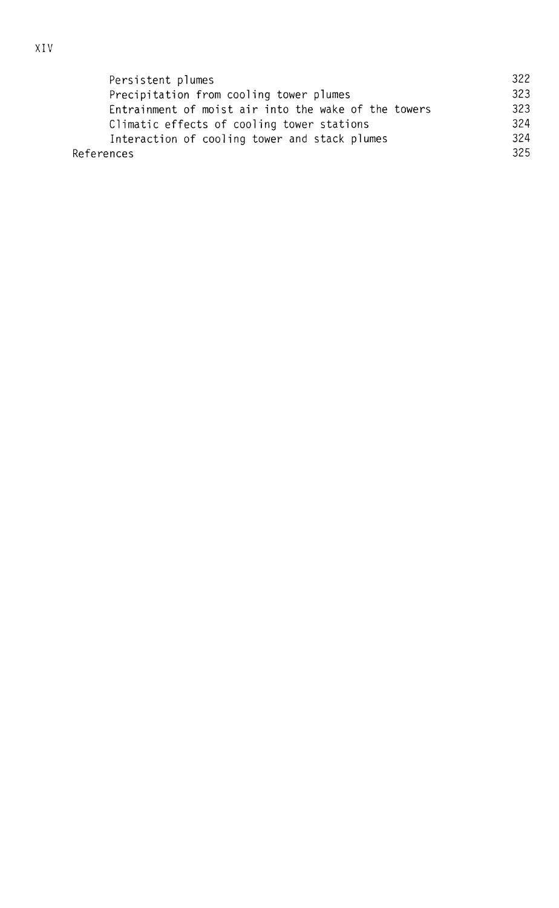| Persistent plumes                                    | 322 |
|------------------------------------------------------|-----|
| Precipitation from cooling tower plumes              | 323 |
| Entrainment of moist air into the wake of the towers | 323 |
| Climatic effects of cooling tower stations           | 324 |
| Interaction of cooling tower and stack plumes        | 324 |
| References                                           | 325 |